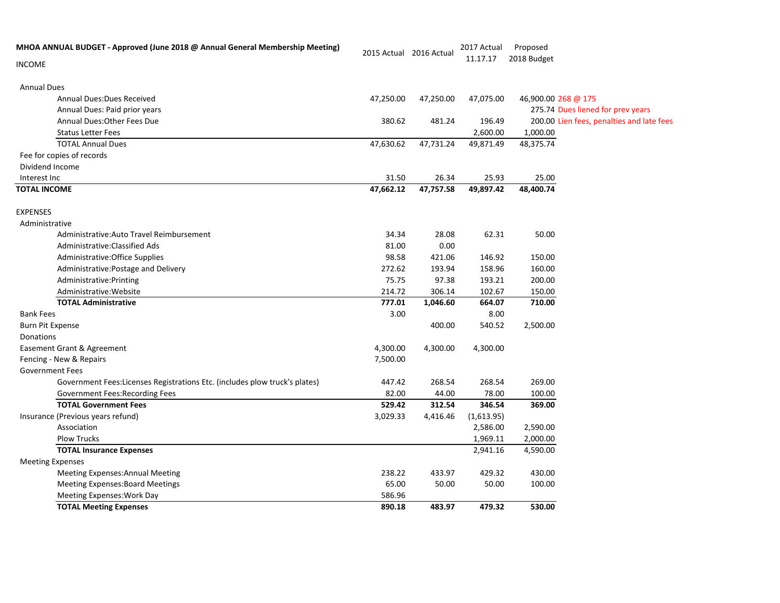| MHOA ANNUAL BUDGET - Approved (June 2018 @ Annual General Membership Meeting) | 2015 Actual 2016 Actual |           | 2017 Actual | Proposed            |                                           |
|-------------------------------------------------------------------------------|-------------------------|-----------|-------------|---------------------|-------------------------------------------|
| <b>INCOME</b>                                                                 |                         |           | 11.17.17    | 2018 Budget         |                                           |
| <b>Annual Dues</b>                                                            |                         |           |             |                     |                                           |
| <b>Annual Dues: Dues Received</b>                                             | 47,250.00               | 47,250.00 | 47,075.00   | 46,900.00 268 @ 175 |                                           |
| Annual Dues: Paid prior years                                                 |                         |           |             |                     | 275.74 Dues liened for prev years         |
| Annual Dues: Other Fees Due                                                   | 380.62                  | 481.24    | 196.49      |                     | 200.00 Lien fees, penalties and late fees |
| <b>Status Letter Fees</b>                                                     |                         |           | 2,600.00    | 1,000.00            |                                           |
| <b>TOTAL Annual Dues</b>                                                      | 47,630.62               | 47,731.24 | 49,871.49   | 48,375.74           |                                           |
| Fee for copies of records                                                     |                         |           |             |                     |                                           |
| Dividend Income                                                               |                         |           |             |                     |                                           |
| Interest Inc                                                                  | 31.50                   | 26.34     | 25.93       | 25.00               |                                           |
| <b>TOTAL INCOME</b>                                                           | 47,662.12               | 47,757.58 | 49,897.42   | 48,400.74           |                                           |
| <b>EXPENSES</b>                                                               |                         |           |             |                     |                                           |
| Administrative                                                                |                         |           |             |                     |                                           |
| Administrative: Auto Travel Reimbursement                                     | 34.34                   | 28.08     | 62.31       | 50.00               |                                           |
| Administrative: Classified Ads                                                | 81.00                   | 0.00      |             |                     |                                           |
| Administrative: Office Supplies                                               | 98.58                   | 421.06    | 146.92      | 150.00              |                                           |
| Administrative: Postage and Delivery                                          | 272.62                  | 193.94    | 158.96      | 160.00              |                                           |
| Administrative: Printing                                                      | 75.75                   | 97.38     | 193.21      | 200.00              |                                           |
| Administrative: Website                                                       | 214.72                  | 306.14    | 102.67      | 150.00              |                                           |
| <b>TOTAL Administrative</b>                                                   | 777.01                  | 1,046.60  | 664.07      | 710.00              |                                           |
| <b>Bank Fees</b>                                                              | 3.00                    |           | 8.00        |                     |                                           |
| <b>Burn Pit Expense</b>                                                       |                         | 400.00    | 540.52      | 2,500.00            |                                           |
| Donations                                                                     |                         |           |             |                     |                                           |
| Easement Grant & Agreement                                                    | 4,300.00                | 4,300.00  | 4,300.00    |                     |                                           |
| Fencing - New & Repairs                                                       | 7,500.00                |           |             |                     |                                           |
| <b>Government Fees</b>                                                        |                         |           |             |                     |                                           |
| Government Fees:Licenses Registrations Etc. (includes plow truck's plates)    | 447.42                  | 268.54    | 268.54      | 269.00              |                                           |
| Government Fees: Recording Fees                                               | 82.00                   | 44.00     | 78.00       | 100.00              |                                           |
| <b>TOTAL Government Fees</b>                                                  | 529.42                  | 312.54    | 346.54      | 369.00              |                                           |
| Insurance (Previous years refund)                                             | 3,029.33                | 4,416.46  | (1,613.95)  |                     |                                           |
| Association                                                                   |                         |           | 2,586.00    | 2,590.00            |                                           |
| <b>Plow Trucks</b>                                                            |                         |           | 1,969.11    | 2,000.00            |                                           |
| <b>TOTAL Insurance Expenses</b>                                               |                         |           | 2,941.16    | 4,590.00            |                                           |
| <b>Meeting Expenses</b>                                                       |                         |           |             |                     |                                           |
| <b>Meeting Expenses: Annual Meeting</b>                                       | 238.22                  | 433.97    | 429.32      | 430.00              |                                           |
| <b>Meeting Expenses: Board Meetings</b>                                       | 65.00                   | 50.00     | 50.00       | 100.00              |                                           |
| <b>Meeting Expenses: Work Day</b>                                             | 586.96                  |           |             |                     |                                           |
| <b>TOTAL Meeting Expenses</b>                                                 | 890.18                  | 483.97    | 479.32      | 530.00              |                                           |